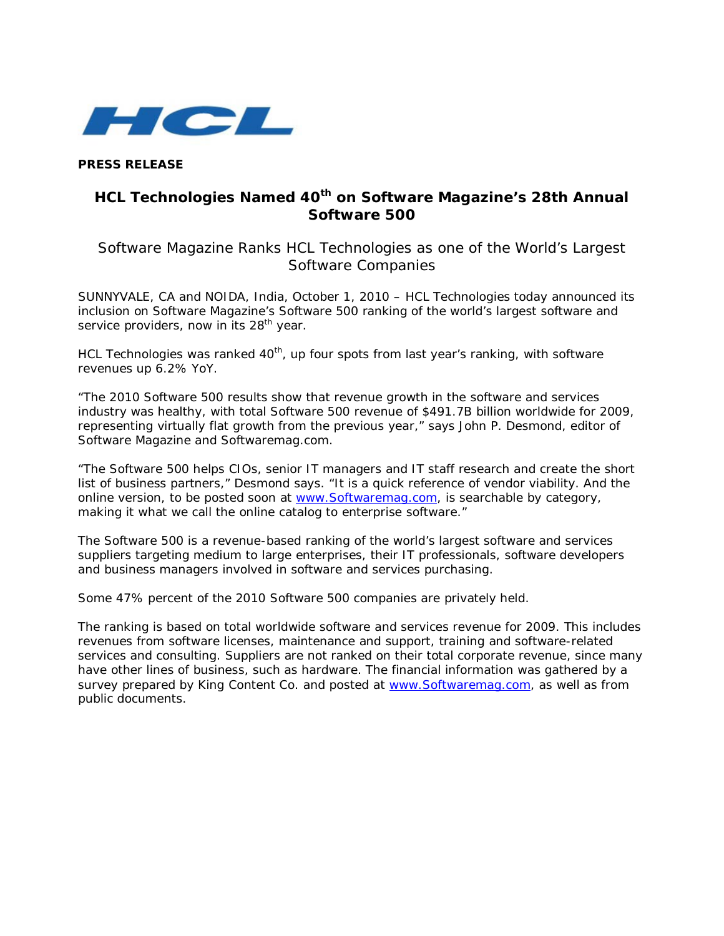

**PRESS RELEASE**

# **HCL Technologies Named 40th on Software Magazine's 28th Annual Software 500**

*Software Magazine Ranks HCL Technologies as one of the World's Largest Software Companies*

SUNNYVALE, CA and NOIDA, India, October 1, 2010 – HCL Technologies today announced its inclusion on Software Magazine's Software 500 ranking of the world's largest software and service providers, now in its 28<sup>th</sup> year.

HCL Technologies was ranked  $40<sup>th</sup>$ , up four spots from last year's ranking, with software revenues up 6.2% YoY.

"The 2010 Software 500 results show that revenue growth in the software and services industry was healthy, with total Software 500 revenue of \$491.7B billion worldwide for 2009, representing virtually flat growth from the previous year," says John P. Desmond, editor of Software Magazine and Softwaremag.com.

"The Software 500 helps CIOs, senior IT managers and IT staff research and create the short list of business partners," Desmond says. "It is a quick reference of vendor viability. And the online version, to be posted soon at [www.Softwaremag.com,](http://www.softwaremag.com/) is searchable by category, making it what we call the online catalog to enterprise software."

The Software 500 is a revenue-based ranking of the world's largest software and services suppliers targeting medium to large enterprises, their IT professionals, software developers and business managers involved in software and services purchasing.

Some 47% percent of the 2010 Software 500 companies are privately held.

The ranking is based on total worldwide software and services revenue for 2009. This includes revenues from software licenses, maintenance and support, training and software-related services and consulting. Suppliers are not ranked on their total corporate revenue, since many have other lines of business, such as hardware. The financial information was gathered by a survey prepared by King Content Co. and posted at [www.Softwaremag.com,](http://www.softwaremag.com/) as well as from public documents.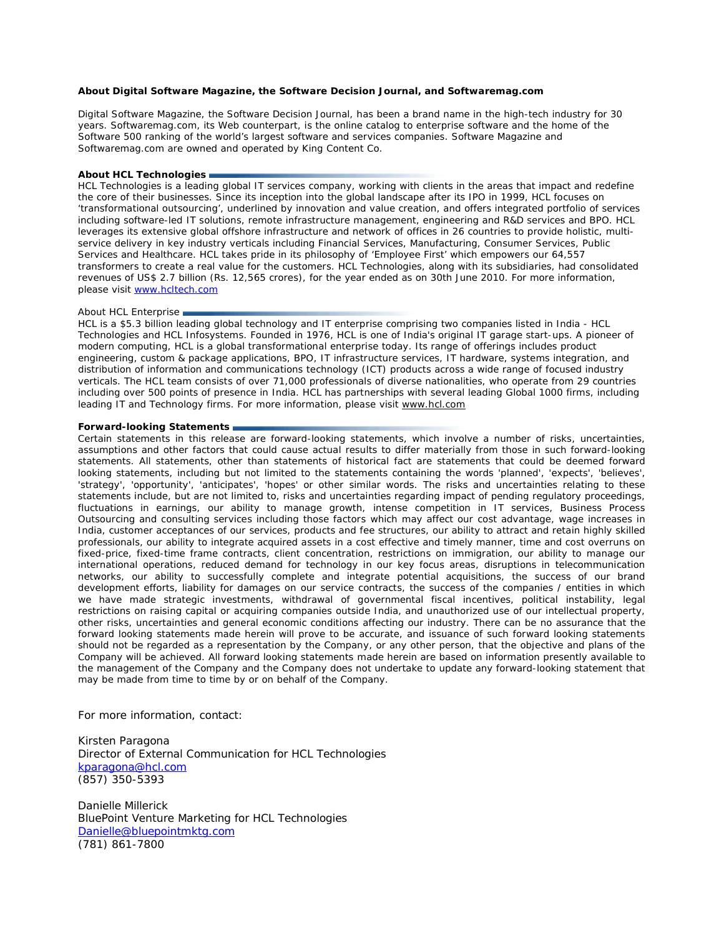## **About Digital Software Magazine, the Software Decision Journal, and Softwaremag.com**

Digital Software Magazine, the Software Decision Journal, has been a brand name in the high-tech industry for 30 years. Softwaremag.com, its Web counterpart, is the online catalog to enterprise software and the home of the Software 500 ranking of the world's largest software and services companies. Software Magazine and Softwaremag.com are owned and operated by King Content Co.

#### **About HCL Technologies**

HCL Technologies is a leading global IT services company, working with clients in the areas that impact and redefine the core of their businesses. Since its inception into the global landscape after its IPO in 1999, HCL focuses on 'transformational outsourcing', underlined by innovation and value creation, and offers integrated portfolio of services including software-led IT solutions, remote infrastructure management, engineering and R&D services and BPO. HCL leverages its extensive global offshore infrastructure and network of offices in 26 countries to provide holistic, multiservice delivery in key industry verticals including Financial Services, Manufacturing, Consumer Services, Public Services and Healthcare. HCL takes pride in its philosophy of 'Employee First' which empowers our 64,557 transformers to create a real value for the customers. HCL Technologies, along with its subsidiaries, had consolidated revenues of US\$ 2.7 billion (Rs. 12,565 crores), for the year ended as on 30th June 2010. For more information, please visit [www.hcltech.com](http://www.hcltech.com/)

### About HCL Enterprise

HCL is a \$5.3 billion leading global technology and IT enterprise comprising two companies listed in India - HCL Technologies and HCL Infosystems. Founded in 1976, HCL is one of India's original IT garage start-ups. A pioneer of modern computing, HCL is a global transformational enterprise today. Its range of offerings includes product engineering, custom & package applications, BPO, IT infrastructure services, IT hardware, systems integration, and distribution of information and communications technology (ICT) products across a wide range of focused industry verticals. The HCL team consists of over 71,000 professionals of diverse nationalities, who operate from 29 countries including over 500 points of presence in India. HCL has partnerships with several leading Global 1000 firms, including leading IT and Technology firms. For more information, please visit www.hcl.com

#### *Forward-looking Statements*

*Certain statements in this release are forward-looking statements, which involve a number of risks, uncertainties, assumptions and other factors that could cause actual results to differ materially from those in such forward-looking statements. All statements, other than statements of historical fact are statements that could be deemed forward looking statements, including but not limited to the statements containing the words 'planned', 'expects', 'believes', 'strategy', 'opportunity', 'anticipates', 'hopes' or other similar words. The risks and uncertainties relating to these statements include, but are not limited to, risks and uncertainties regarding impact of pending regulatory proceedings, fluctuations in earnings, our ability to manage growth, intense competition in IT services, Business Process Outsourcing and consulting services including those factors which may affect our cost advantage, wage increases in India, customer acceptances of our services, products and fee structures, our ability to attract and retain highly skilled professionals, our ability to integrate acquired assets in a cost effective and timely manner, time and cost overruns on fixed-price, fixed-time frame contracts, client concentration, restrictions on immigration, our ability to manage our international operations, reduced demand for technology in our key focus areas, disruptions in telecommunication networks, our ability to successfully complete and integrate potential acquisitions, the success of our brand development efforts, liability for damages on our service contracts, the success of the companies / entities in which*  we have made strategic investments, withdrawal of governmental fiscal incentives, political instability, legal *restrictions on raising capital or acquiring companies outside India, and unauthorized use of our intellectual property, other risks, uncertainties and general economic conditions affecting our industry. There can be no assurance that the forward looking statements made herein will prove to be accurate, and issuance of such forward looking statements should not be regarded as a representation by the Company, or any other person, that the objective and plans of the Company will be achieved. All forward looking statements made herein are based on information presently available to the management of the Company and the Company does not undertake to update any forward-looking statement that may be made from time to time by or on behalf of the Company.*

# For more information, contact:

Kirsten Paragona Director of External Communication for HCL Technologies [kparagona@hcl.com](mailto:kparagona@hcl.com) (857) 350-5393

Danielle Millerick BluePoint Venture Marketing for HCL Technologies [Danielle@bluepointmktg.com](mailto:Danielle@bluepointmktg.com) (781) 861-7800